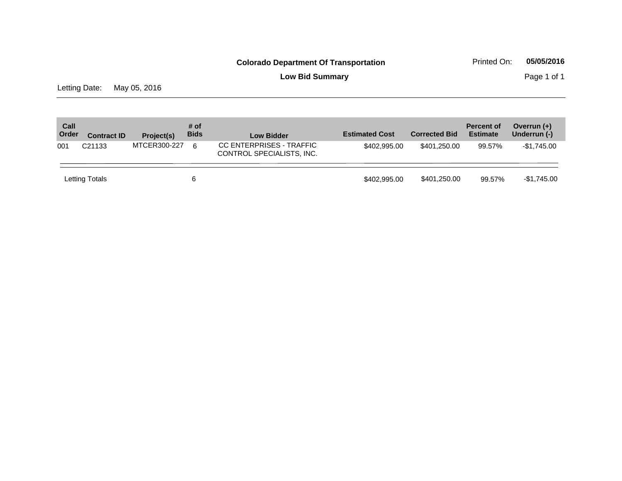**Low Bid Summary** Page 1 of 1

Letting Date: May 05, 2016

| Call<br>Order | <b>Contract ID</b> | Project(s)   | # of<br><b>Bids</b> | <b>Low Bidder</b>                                     | <b>Estimated Cost</b> | <b>Corrected Bid</b> | <b>Percent of</b><br><b>Estimate</b> | Overrun $(+)$<br>Underrun (-) |
|---------------|--------------------|--------------|---------------------|-------------------------------------------------------|-----------------------|----------------------|--------------------------------------|-------------------------------|
| 001           | C <sub>21133</sub> | MTCER300-227 | 6                   | CC ENTERPRISES - TRAFFIC<br>CONTROL SPECIALISTS, INC. | \$402,995,00          | \$401.250.00         | 99.57%                               | $-$1.745.00$                  |
|               | Letting Totals     |              | 6                   |                                                       | \$402,995,00          | \$401,250.00         | 99.57%                               | $-$1,745.00$                  |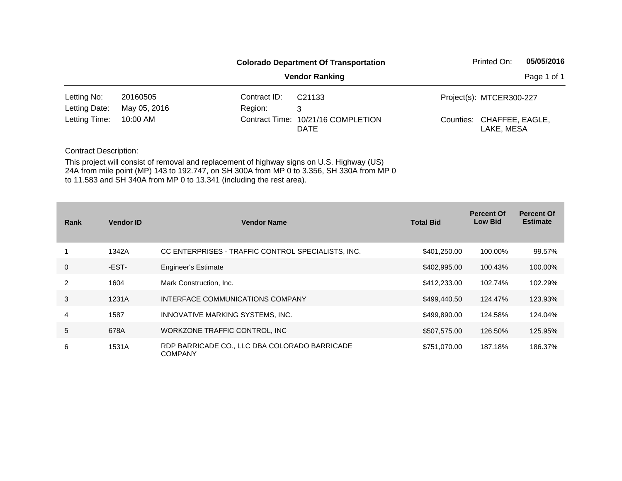|                             |              | <b>Colorado Department Of Transportation</b> | Printed On:                                       | 05/05/2016 |                                         |  |
|-----------------------------|--------------|----------------------------------------------|---------------------------------------------------|------------|-----------------------------------------|--|
|                             |              | <b>Vendor Ranking</b>                        | Page 1 of 1                                       |            |                                         |  |
| Letting No:                 | 20160505     | Contract ID:                                 | C <sub>21133</sub>                                |            | Project(s): MTCER300-227                |  |
| Letting Date:               | May 05, 2016 | Region:                                      | 3                                                 |            |                                         |  |
| Letting Time:<br>$10:00$ AM |              |                                              | Contract Time: 10/21/16 COMPLETION<br><b>DATE</b> |            | Counties: CHAFFEE, EAGLE,<br>LAKE, MESA |  |

| Rank           | <b>Vendor ID</b> | <b>Vendor Name</b>                                              | <b>Total Bid</b> | <b>Percent Of</b><br><b>Low Bid</b> | <b>Percent Of</b><br><b>Estimate</b> |
|----------------|------------------|-----------------------------------------------------------------|------------------|-------------------------------------|--------------------------------------|
|                | 1342A            | CC ENTERPRISES - TRAFFIC CONTROL SPECIALISTS, INC.              | \$401,250.00     | 100.00%                             | 99.57%                               |
| $\mathbf 0$    | -EST-            | <b>Engineer's Estimate</b>                                      | \$402,995.00     | 100.43%                             | 100.00%                              |
| $\overline{2}$ | 1604             | Mark Construction, Inc.                                         | \$412,233.00     | 102.74%                             | 102.29%                              |
| 3              | 1231A            | INTERFACE COMMUNICATIONS COMPANY                                | \$499,440.50     | 124.47%                             | 123.93%                              |
| 4              | 1587             | INNOVATIVE MARKING SYSTEMS, INC.                                | \$499,890.00     | 124.58%                             | 124.04%                              |
| 5              | 678A             | WORKZONE TRAFFIC CONTROL, INC.                                  | \$507,575.00     | 126.50%                             | 125.95%                              |
| 6              | 1531A            | RDP BARRICADE CO., LLC DBA COLORADO BARRICADE<br><b>COMPANY</b> | \$751,070.00     | 187.18%                             | 186.37%                              |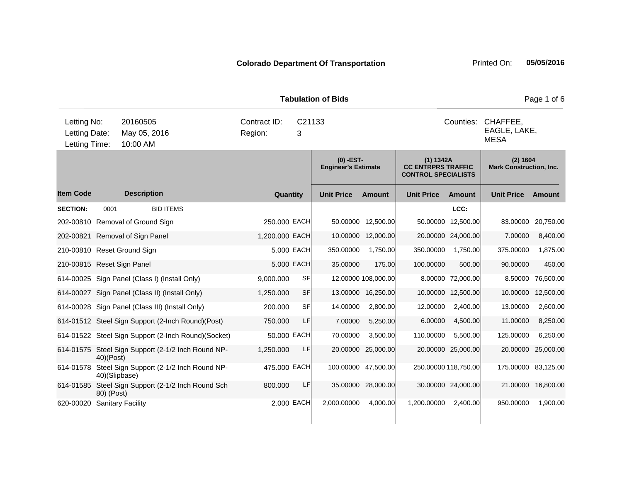| <b>Tabulation of Bids</b>                     |                                                |                         |    |                                           |                     |                                                                      |                    |                                            |           |
|-----------------------------------------------|------------------------------------------------|-------------------------|----|-------------------------------------------|---------------------|----------------------------------------------------------------------|--------------------|--------------------------------------------|-----------|
| Letting No:<br>Letting Date:<br>Letting Time: | Contract ID:<br>Region:                        | C <sub>21133</sub><br>3 |    |                                           |                     | CHAFFEE,<br>Counties:<br>EAGLE, LAKE,<br><b>MESA</b>                 |                    |                                            |           |
|                                               |                                                |                         |    | $(0)$ -EST-<br><b>Engineer's Estimate</b> |                     | (1) 1342A<br><b>CC ENTRPRS TRAFFIC</b><br><b>CONTROL SPECIALISTS</b> |                    | (2) 1604<br><b>Mark Construction, Inc.</b> |           |
| <b>Item Code</b>                              | <b>Description</b>                             | Quantity                |    | <b>Unit Price</b>                         | <b>Amount</b>       | <b>Unit Price</b>                                                    | <b>Amount</b>      | <b>Unit Price</b>                          | Amount    |
| <b>SECTION:</b><br>0001                       | <b>BID ITEMS</b>                               |                         |    |                                           |                     |                                                                      | LCC:               |                                            |           |
| 202-00810 Removal of Ground Sign              |                                                | 250.000 EACH            |    |                                           | 50.00000 12,500.00  | 50.00000                                                             | 12,500.00          | 83.00000                                   | 20,750.00 |
| 202-00821 Removal of Sign Panel               |                                                | 1,200.000 EACH          |    | 10.00000                                  | 12,000.00           |                                                                      | 20.00000 24,000.00 | 7.00000                                    | 8,400.00  |
| 210-00810 Reset Ground Sign                   |                                                | 5.000 EACH              |    | 350.00000                                 | 1,750.00            | 350.00000                                                            | 1,750.00           | 375.00000                                  | 1,875.00  |
| 210-00815 Reset Sign Panel                    |                                                | 5.000 EACH              |    | 35.00000                                  | 175.00              | 100.00000                                                            | 500.00             | 90.00000                                   | 450.00    |
|                                               | 614-00025 Sign Panel (Class I) (Install Only)  | 9,000.000               | SF |                                           | 12.00000 108,000.00 |                                                                      | 8.00000 72,000.00  | 8.50000                                    | 76,500.00 |
|                                               | 614-00027 Sign Panel (Class II) (Install Only) | 1,250.000               | SF | 13.00000                                  | 16,250.00           | 10.00000                                                             | 12,500.00          | 10.00000                                   | 12,500.00 |

614-00028 Sign Panel (Class III) (Install Only) 200.000 SF 14.00000 2,800.00 12.00000 2,400.00 13.00000 2,600.00 614-01512 Steel Sign Support (2-Inch Round)(Post) 750.000 LF 7.00000 5,250.00 6.00000 4,500.00 11.00000 8,250.00 614-01522 Steel Sign Support (2-Inch Round)(Socket) 50.000 EACH 70.00000 3,500.00 110.00000 5,500.00 125.00000 6,250.00 614-01575 Steel Sign Support (2-1/2 Inch Round NP-1,250.000 LF 20.00000 25,000.00 20.00000 25,000.00 20.00000 25,000.00 614-01578 Steel Sign Support (2-1/2 Inch Round NP-475.000 EACH 100.00000 47,500.00 250.00000 118,750.00 175.00000 83,125.00

40)(Post)

80) (Post)

40)(Slipbase)

614-01585 Steel Sign Support (2-1/2 Inch Round Sch

620-00020 Sanitary Facility 2.000 EACH 2,000.00000 4,000.00 1,200.00000 2,400.00 950.00000 1,900.00

800.000 LF 35.00000 28,000.00 30.00000 24,000.00 21.00000 16,800.00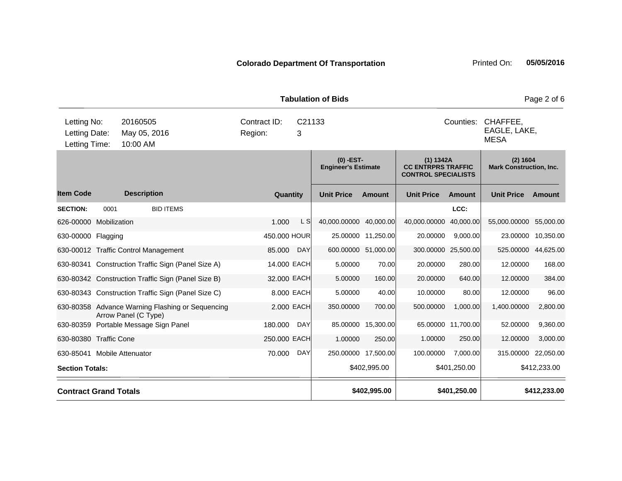**Quantity Unit Price Unit Price Ext** Item Code Description Quantity Unit Price Amount Unit Price Amount Unit Price **Ext Unit Price Amount Ext Amount (0) -EST-Engineer's Estimate (1) 1342A CC ENTRPRS TRAFFIC CONTROL SPECIALISTS (2) 1604 Mark Construction, Inc. Description SECTION:** 0001 BID ITEMS **LCC:** 626-00000 Mobilization 1.000 L S 40,000.00000 40,000.00 40,000.00000 40,000.00 55,000.00000 55,000.00 630-00000 Flagging 450.000 HOUR 25.00000 11,250.00 20.00000 9,000.00 23.00000 10,350.00 630-00012 Traffic Control Management 85.000 DAY 600.00000 51,000.00 300.00000 25,500.00 525.00000 44,625.00 630-80341 Construction Traffic Sign (Panel Size A) 14.000 EACH 5.00000 70.00 20.00000 280.00 12.00000 168.00 630-80342 Construction Traffic Sign (Panel Size B) 32.000 EACH 5.00000 160.00 20.00000 640.00 12.00000 384.00 630-80343 Construction Traffic Sign (Panel Size C) 8.000 EACH 5.00000 40.00 10.00000 80.00 12.00000 96.00 630-80358 Advance Warning Flashing or Sequencing Arrow Panel (C Type) 2.000 EACH 350.00000 700.00 500.00000 1,000.00 1,400.00000 2,800.00 630-80359 Portable Message Sign Panel 180.000 DAY 85.00000 15,300.00 65.00000 11,700.00 52.00000 9,360.00 630-80380 Traffic Cone 250.000 EACH 1.00000 250.00 1.00000 250.00 12.00000 3,000.00 630-85041 Mobile Attenuator 70.000 DAY 250.00000 17,500.00 100.00000 7,000.00 315.00000 22,050.00 **Section Totals: \$402,995.00 \$401,250.00 \$412,233.00 Contract Grand Totals \$402,995.00 \$401,250.00 \$412,233.00** 10:00 AM Counties: CHAFFEE. EAGLE, LAKE, MESA Letting Date: May 05, 2016 <sup>3</sup> C21133 Region: Letting Time: Letting No: 20160505 Contract ID: Counties:

**Tabulation of Bids** Page 2 of 6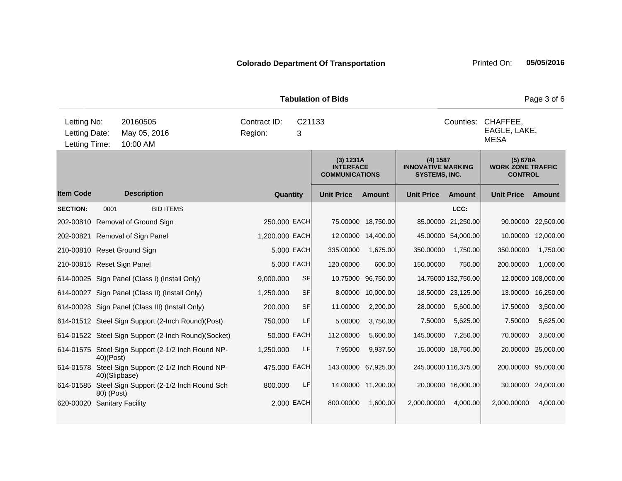|                                               |               |                                                     |                         |             | <b>Tabulation of Bids</b>                              |                     |                                                               |                      |                                                        | Page 3 of 6         |
|-----------------------------------------------|---------------|-----------------------------------------------------|-------------------------|-------------|--------------------------------------------------------|---------------------|---------------------------------------------------------------|----------------------|--------------------------------------------------------|---------------------|
| Letting No:<br>Letting Date:<br>Letting Time: |               | 20160505<br>May 05, 2016<br>10:00 AM                | Contract ID:<br>Region: | C21133<br>3 |                                                        |                     |                                                               | Counties:            | CHAFFEE,<br>EAGLE, LAKE,<br><b>MESA</b>                |                     |
|                                               |               |                                                     |                         |             | (3) 1231A<br><b>INTERFACE</b><br><b>COMMUNICATIONS</b> |                     | (4) 1587<br><b>INNOVATIVE MARKING</b><br><b>SYSTEMS, INC.</b> |                      | (5) 678A<br><b>WORK ZONE TRAFFIC</b><br><b>CONTROL</b> |                     |
| <b>Item Code</b>                              |               | <b>Description</b>                                  | Quantity                |             | <b>Unit Price</b>                                      | Amount              | <b>Unit Price</b>                                             | Amount               | <b>Unit Price</b>                                      | Amount              |
| <b>SECTION:</b>                               | 0001          | <b>BID ITEMS</b>                                    |                         |             |                                                        |                     |                                                               | LCC:                 |                                                        |                     |
|                                               |               | 202-00810 Removal of Ground Sign                    | 250,000 EACH            |             |                                                        | 75.00000 18,750.00  |                                                               | 85.00000 21,250.00   |                                                        | 90.00000 22,500.00  |
|                                               |               | 202-00821 Removal of Sign Panel                     | 1,200.000 EACH          |             | 12.00000                                               | 14,400.00           |                                                               | 45.00000 54,000.00   | 10.00000                                               | 12,000.00           |
|                                               |               | 210-00810 Reset Ground Sign                         |                         | 5.000 EACH  | 335.00000                                              | 1,675.00            | 350.00000                                                     | 1,750.00             | 350.00000                                              | 1,750.00            |
| 210-00815 Reset Sign Panel                    |               |                                                     |                         | 5.000 EACH  | 120.00000                                              | 600.00              | 150.00000                                                     | 750.00               | 200.00000                                              | 1,000.00            |
|                                               |               | 614-00025 Sign Panel (Class I) (Install Only)       | 9,000.000               | <b>SF</b>   | 10.75000                                               | 96,750.00           |                                                               | 14.75000 132,750.00  |                                                        | 12.00000 108,000.00 |
|                                               |               | 614-00027 Sign Panel (Class II) (Install Only)      | 1,250.000               | <b>SF</b>   | 8.00000                                                | 10,000.00           |                                                               | 18.50000 23,125.00   | 13.00000                                               | 16,250.00           |
|                                               |               | 614-00028 Sign Panel (Class III) (Install Only)     | 200.000                 | <b>SF</b>   | 11.00000                                               | 2,200.00            | 28.00000                                                      | 5,600.00             | 17.50000                                               | 3,500.00            |
|                                               |               | 614-01512 Steel Sign Support (2-Inch Round)(Post)   | 750.000                 | LF          | 5.00000                                                | 3,750.00            | 7.50000                                                       | 5,625.00             | 7.50000                                                | 5,625.00            |
|                                               |               | 614-01522 Steel Sign Support (2-Inch Round)(Socket) | 50,000 EACH             |             | 112.00000                                              | 5,600.00            | 145.00000                                                     | 7,250.00             | 70.00000                                               | 3,500.00            |
|                                               | 40)(Post)     | 614-01575 Steel Sign Support (2-1/2 Inch Round NP-  | 1,250.000               | <b>LF</b>   | 7.95000                                                | 9,937.50            |                                                               | 15.00000 18,750.00   | 20.00000                                               | 25,000.00           |
| 614-01578                                     | 40)(Slipbase) | Steel Sign Support (2-1/2 Inch Round NP-            | 475.000 EACH            |             |                                                        | 143.00000 67,925.00 |                                                               | 245.00000 116,375.00 | 200.00000                                              | 95,000.00           |

620-00020 Sanitary Facility **2.000 FACH** 800.00000 1,600.00 2,000.0000 4,000.00 2,000.0000 4,000.00 4,000.00

614-01585 Steel Sign Support (2-1/2 Inch Round Sch

80) (Post)

800.000 LF 14.00000 11,200.00 20.00000 16,000.00 30.00000 24,000.00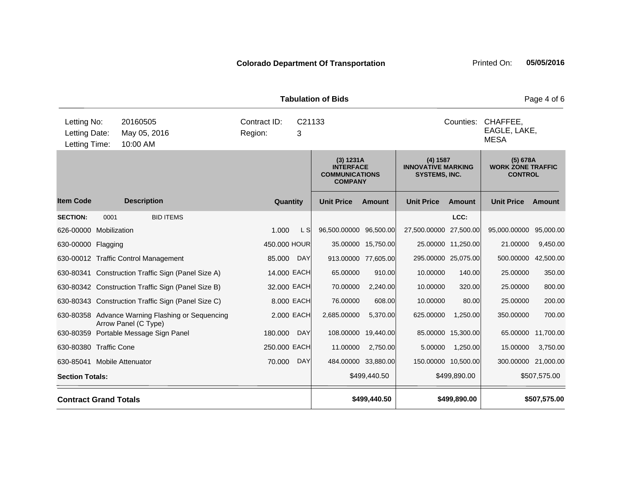|                                               |                              |                                                                          |                         |                                                                          | <b>Tabulation of Bids</b> |                                                               |                     | Page 4 of 6                                            |                                         |              |  |
|-----------------------------------------------|------------------------------|--------------------------------------------------------------------------|-------------------------|--------------------------------------------------------------------------|---------------------------|---------------------------------------------------------------|---------------------|--------------------------------------------------------|-----------------------------------------|--------------|--|
| Letting No:<br>Letting Date:<br>Letting Time: |                              | 20160505<br>May 05, 2016<br>10:00 AM                                     | Contract ID:<br>Region: | C <sub>21133</sub><br>3                                                  |                           |                                                               |                     | Counties:                                              | CHAFFEE,<br>EAGLE, LAKE,<br><b>MESA</b> |              |  |
|                                               |                              |                                                                          |                         | (3) 1231A<br><b>INTERFACE</b><br><b>COMMUNICATIONS</b><br><b>COMPANY</b> |                           | (4) 1587<br><b>INNOVATIVE MARKING</b><br><b>SYSTEMS, INC.</b> |                     | (5) 678A<br><b>WORK ZONE TRAFFIC</b><br><b>CONTROL</b> |                                         |              |  |
| <b>Item Code</b>                              |                              | <b>Description</b>                                                       | Quantity                |                                                                          | <b>Unit Price</b>         | <b>Amount</b>                                                 | <b>Unit Price</b>   | <b>Amount</b>                                          | <b>Unit Price</b>                       | Amount       |  |
| <b>SECTION:</b>                               | 0001                         | <b>BID ITEMS</b>                                                         |                         |                                                                          |                           |                                                               |                     | LCC:                                                   |                                         |              |  |
| 626-00000 Mobilization                        |                              |                                                                          | 1.000                   | L S                                                                      | 96,500.00000 96,500.00    |                                                               | 27,500.00000        | 27,500.00                                              | 95,000.00000                            | 95,000.00    |  |
| 630-00000 Flagging                            |                              |                                                                          | 450.000 HOUR            |                                                                          | 35.00000                  | 15,750.00                                                     |                     | 25.00000 11,250.00                                     | 21.00000                                | 9,450.00     |  |
|                                               |                              | 630-00012 Traffic Control Management                                     | 85.000                  | <b>DAY</b>                                                               | 913.00000                 | 77,605.00                                                     | 295.00000 25,075.00 |                                                        | 500.00000                               | 42,500.00    |  |
|                                               |                              | 630-80341 Construction Traffic Sign (Panel Size A)                       | 14.000 EACH             |                                                                          | 65.00000                  | 910.00                                                        | 10.00000            | 140.00                                                 | 25.00000                                | 350.00       |  |
|                                               |                              | 630-80342 Construction Traffic Sign (Panel Size B)                       | 32.000 EACH             |                                                                          | 70.00000                  | 2,240.00                                                      | 10.00000            | 320.00                                                 | 25.00000                                | 800.00       |  |
|                                               |                              | 630-80343 Construction Traffic Sign (Panel Size C)                       | 8.000 EACH              |                                                                          | 76.00000                  | 608.00                                                        | 10.00000            | 80.00                                                  | 25.00000                                | 200.00       |  |
|                                               |                              | 630-80358 Advance Warning Flashing or Sequencing<br>Arrow Panel (C Type) |                         | 2.000 EACH                                                               | 2,685.00000               | 5,370.00                                                      | 625.00000           | 1,250.00                                               | 350.00000                               | 700.00       |  |
|                                               |                              | 630-80359 Portable Message Sign Panel                                    | 180.000                 | <b>DAY</b>                                                               | 108.00000                 | 19,440.00                                                     | 85.00000            | 15,300.00                                              | 65.00000                                | 11,700.00    |  |
| 630-80380 Traffic Cone                        |                              |                                                                          | 250.000 EACH            |                                                                          | 11.00000                  | 2,750.00                                                      | 5.00000             | 1,250.00                                               | 15.00000                                | 3,750.00     |  |
| 630-85041 Mobile Attenuator                   |                              |                                                                          | 70.000                  | <b>DAY</b>                                                               |                           | 484.00000 33,880.00                                           | 150.00000 10,500.00 |                                                        | 300.00000 21,000.00                     |              |  |
|                                               | <b>Section Totals:</b>       |                                                                          |                         |                                                                          |                           | \$499,440.50                                                  | \$499,890.00        |                                                        | \$507,575.00                            |              |  |
|                                               | <b>Contract Grand Totals</b> |                                                                          |                         |                                                                          |                           | \$499,440.50                                                  |                     | \$499,890.00                                           |                                         | \$507,575.00 |  |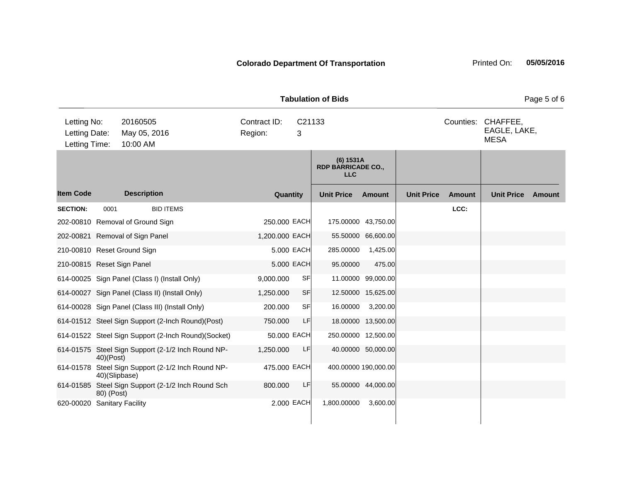| <b>Tabulation of Bids</b>                     |               |                                      |                                                     |                         |             |           |                                                        |                    |                   | Page 5 of 6 |                                                   |        |
|-----------------------------------------------|---------------|--------------------------------------|-----------------------------------------------------|-------------------------|-------------|-----------|--------------------------------------------------------|--------------------|-------------------|-------------|---------------------------------------------------|--------|
| Letting No:<br>Letting Date:<br>Letting Time: |               | 20160505<br>May 05, 2016<br>10:00 AM |                                                     | Contract ID:<br>Region: | 3           |           | C21133                                                 |                    |                   |             | Counties: CHAFFEE,<br>EAGLE, LAKE,<br><b>MESA</b> |        |
|                                               |               |                                      |                                                     |                         |             |           | $(6)$ 1531A<br><b>RDP BARRICADE CO.,</b><br><b>LLC</b> |                    |                   |             |                                                   |        |
| <b>Item Code</b>                              |               | <b>Description</b>                   |                                                     |                         | Quantity    |           | <b>Unit Price</b>                                      | <b>Amount</b>      | <b>Unit Price</b> | Amount      | <b>Unit Price</b>                                 | Amount |
| <b>SECTION:</b>                               | 0001          |                                      | <b>BID ITEMS</b>                                    |                         |             |           |                                                        |                    |                   | LCC:        |                                                   |        |
| 202-00810 Removal of Ground Sign              |               |                                      |                                                     | 250.000 EACH            |             |           | 175.00000 43,750.00                                    |                    |                   |             |                                                   |        |
| 202-00821 Removal of Sign Panel               |               |                                      |                                                     | 1,200.000 EACH          |             |           |                                                        | 55.50000 66,600.00 |                   |             |                                                   |        |
| 210-00810 Reset Ground Sign                   |               |                                      |                                                     |                         | 5.000 EACH  |           | 285.00000                                              | 1,425.00           |                   |             |                                                   |        |
| 210-00815 Reset Sign Panel                    |               |                                      |                                                     |                         | 5.000 EACH  |           | 95.00000                                               | 475.00             |                   |             |                                                   |        |
|                                               |               |                                      | 614-00025 Sign Panel (Class I) (Install Only)       | 9,000.000               |             | <b>SF</b> |                                                        | 11.00000 99,000.00 |                   |             |                                                   |        |
|                                               |               |                                      | 614-00027 Sign Panel (Class II) (Install Only)      | 1,250.000               |             | <b>SF</b> |                                                        | 12.50000 15,625.00 |                   |             |                                                   |        |
|                                               |               |                                      | 614-00028 Sign Panel (Class III) (Install Only)     | 200.000                 |             | <b>SF</b> | 16.00000                                               | 3,200.00           |                   |             |                                                   |        |
|                                               |               |                                      | 614-01512 Steel Sign Support (2-Inch Round)(Post)   | 750.000                 |             | LF        |                                                        | 18.00000 13,500.00 |                   |             |                                                   |        |
|                                               |               |                                      | 614-01522 Steel Sign Support (2-Inch Round)(Socket) |                         | 50.000 EACH |           | 250.00000 12,500.00                                    |                    |                   |             |                                                   |        |
|                                               | 40)(Post)     |                                      | 614-01575 Steel Sign Support (2-1/2 Inch Round NP-  | 1,250.000               |             | LF        |                                                        | 40.00000 50,000.00 |                   |             |                                                   |        |
|                                               | 40)(Slipbase) |                                      | 614-01578 Steel Sign Support (2-1/2 Inch Round NP-  | 475.000 EACH            |             |           | 400.00000 190,000.00                                   |                    |                   |             |                                                   |        |
|                                               | 80) (Post)    |                                      | 614-01585 Steel Sign Support (2-1/2 Inch Round Sch  | 800,000                 |             | LF        |                                                        | 55.00000 44,000.00 |                   |             |                                                   |        |
| 620-00020 Sanitary Facility                   |               |                                      |                                                     |                         | 2.000 EACH  |           | 1,800.00000                                            | 3,600.00           |                   |             |                                                   |        |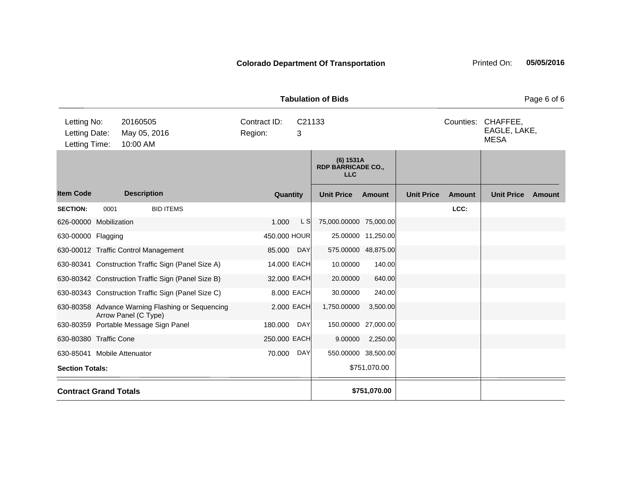| raburation or Dius<br>i ayo u u               |                              |                                                                          |                         |             |                                                      |                     |                   |               |                                         |        |
|-----------------------------------------------|------------------------------|--------------------------------------------------------------------------|-------------------------|-------------|------------------------------------------------------|---------------------|-------------------|---------------|-----------------------------------------|--------|
| Letting No:<br>Letting Date:<br>Letting Time: |                              | 20160505<br>May 05, 2016<br>10:00 AM                                     | Contract ID:<br>Region: | C21133<br>3 |                                                      |                     |                   | Counties:     | CHAFFEE,<br>EAGLE, LAKE,<br><b>MESA</b> |        |
|                                               |                              |                                                                          |                         |             | (6) 1531A<br><b>RDP BARRICADE CO.,</b><br><b>LLC</b> |                     |                   |               |                                         |        |
| <b>Item Code</b>                              |                              | <b>Description</b>                                                       | Quantity                |             | <b>Unit Price</b>                                    | <b>Amount</b>       | <b>Unit Price</b> | <b>Amount</b> | <b>Unit Price</b>                       | Amount |
| <b>SECTION:</b>                               | 0001                         | <b>BID ITEMS</b>                                                         |                         |             |                                                      |                     |                   | LCC:          |                                         |        |
| 626-00000 Mobilization                        |                              |                                                                          | 1.000                   | L S         | 75,000.00000 75,000.00                               |                     |                   |               |                                         |        |
| 630-00000 Flagging                            |                              |                                                                          | 450.000 HOUR            |             |                                                      | 25.00000 11,250.00  |                   |               |                                         |        |
|                                               |                              | 630-00012 Traffic Control Management                                     | 85.000 DAY              |             |                                                      | 575.00000 48,875.00 |                   |               |                                         |        |
|                                               |                              | 630-80341 Construction Traffic Sign (Panel Size A)                       | 14.000 EACH             |             | 10.00000                                             | 140.00              |                   |               |                                         |        |
|                                               |                              | 630-80342 Construction Traffic Sign (Panel Size B)                       | 32.000 EACH             |             | 20.00000                                             | 640.00              |                   |               |                                         |        |
|                                               |                              | 630-80343 Construction Traffic Sign (Panel Size C)                       | 8.000 EACH              |             | 30.00000                                             | 240.00              |                   |               |                                         |        |
|                                               |                              | 630-80358 Advance Warning Flashing or Sequencing<br>Arrow Panel (C Type) | 2.000 EACH              |             | 1,750.00000                                          | 3,500.00            |                   |               |                                         |        |
|                                               |                              | 630-80359 Portable Message Sign Panel                                    | 180.000                 | <b>DAY</b>  | 150.00000                                            | 27,000.00           |                   |               |                                         |        |
| 630-80380 Traffic Cone                        |                              |                                                                          | 250.000 EACH            |             | 9.00000                                              | 2,250.00            |                   |               |                                         |        |
| 630-85041 Mobile Attenuator                   |                              |                                                                          | 70.000                  | <b>DAY</b>  |                                                      | 550.00000 38,500.00 |                   |               |                                         |        |
|                                               | <b>Section Totals:</b>       |                                                                          |                         |             |                                                      | \$751,070.00        |                   |               |                                         |        |
|                                               | <b>Contract Grand Totals</b> |                                                                          |                         |             |                                                      | \$751,070.00        |                   |               |                                         |        |

**Tabulation of Bids** Page 6 of 6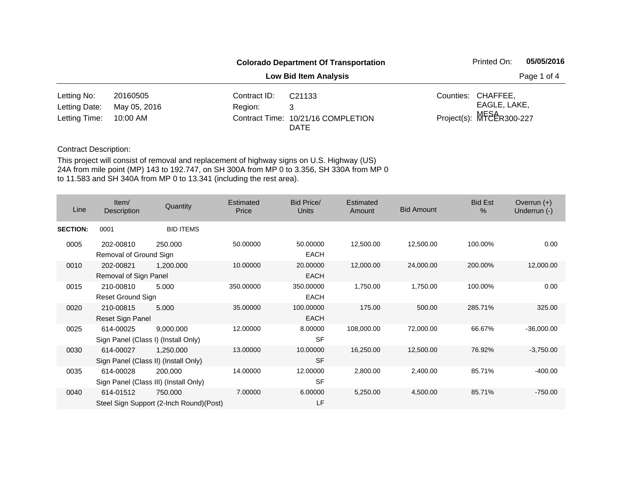|               |              |              | <b>Colorado Department Of Transportation</b>      |             | Printed On:              | 05/05/2016 |
|---------------|--------------|--------------|---------------------------------------------------|-------------|--------------------------|------------|
|               |              |              |                                                   | Page 1 of 4 |                          |            |
| Letting No:   | 20160505     | Contract ID: | C <sub>21133</sub>                                |             | Counties: CHAFFEE,       |            |
| Letting Date: | May 05, 2016 | Region:      | 3                                                 |             | EAGLE, LAKE,             |            |
| Letting Time: | 10:00 AM     |              | Contract Time: 10/21/16 COMPLETION<br><b>DATE</b> |             | Project(s): MFSAR300-227 |            |

| Line            | Item/<br>Description                | Quantity                                            | Estimated<br>Price | <b>Bid Price/</b><br><b>Units</b> | Estimated<br>Amount | <b>Bid Amount</b> | <b>Bid Est</b><br>% | Overrun $(+)$<br>Underrun (-) |
|-----------------|-------------------------------------|-----------------------------------------------------|--------------------|-----------------------------------|---------------------|-------------------|---------------------|-------------------------------|
| <b>SECTION:</b> | 0001                                | <b>BID ITEMS</b>                                    |                    |                                   |                     |                   |                     |                               |
| 0005            | 202-00810<br>Removal of Ground Sign | 250.000                                             | 50.00000           | 50.00000<br><b>EACH</b>           | 12,500.00           | 12,500.00         | 100.00%             | 0.00                          |
| 0010            | 202-00821<br>Removal of Sign Panel  | 1,200.000                                           | 10.00000           | 20.00000<br><b>EACH</b>           | 12,000.00           | 24,000.00         | 200.00%             | 12,000.00                     |
| 0015            | 210-00810<br>Reset Ground Sign      | 5.000                                               | 350.00000          | 350.00000<br><b>EACH</b>          | 1,750.00            | 1,750.00          | 100.00%             | 0.00                          |
| 0020            | 210-00815<br>Reset Sign Panel       | 5.000                                               | 35.00000           | 100.00000<br>EACH                 | 175.00              | 500.00            | 285.71%             | 325.00                        |
| 0025            | 614-00025                           | 9,000.000<br>Sign Panel (Class I) (Install Only)    | 12.00000           | 8.00000<br><b>SF</b>              | 108,000.00          | 72,000.00         | 66.67%              | $-36,000.00$                  |
| 0030            | 614-00027                           | 1,250.000<br>Sign Panel (Class II) (Install Only)   | 13.00000           | 10.00000<br><b>SF</b>             | 16,250.00           | 12,500.00         | 76.92%              | $-3,750.00$                   |
| 0035            | 614-00028                           | 200.000<br>Sign Panel (Class III) (Install Only)    | 14.00000           | 12.00000<br><b>SF</b>             | 2,800.00            | 2,400.00          | 85.71%              | $-400.00$                     |
| 0040            | 614-01512                           | 750.000<br>Steel Sign Support (2-Inch Round) (Post) | 7.00000            | 6.00000<br>LF                     | 5,250.00            | 4,500.00          | 85.71%              | $-750.00$                     |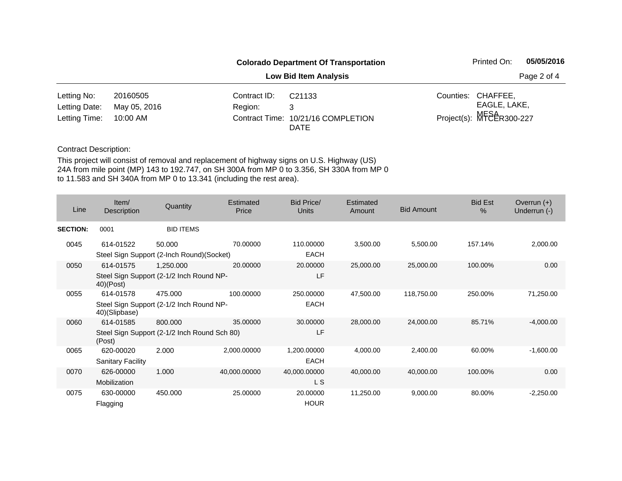|               |              |              | <b>Colorado Department Of Transportation</b>      |                          | Printed On:        |  |  |
|---------------|--------------|--------------|---------------------------------------------------|--------------------------|--------------------|--|--|
|               |              |              | Page 2 of 4                                       |                          |                    |  |  |
| Letting No:   | 20160505     | Contract ID: | C <sub>21133</sub>                                |                          | Counties: CHAFFEE, |  |  |
| Letting Date: | May 05, 2016 | Region:      | 3                                                 |                          | EAGLE, LAKE,       |  |  |
| Letting Time: | 10:00 AM     |              | Contract Time: 10/21/16 COMPLETION<br><b>DATE</b> | Project(s): MFSAR300-227 |                    |  |  |

| Line            | Item/<br>Description                                                   | Quantity         | Estimated<br>Price | <b>Bid Price/</b><br><b>Units</b> | Estimated<br>Amount | <b>Bid Amount</b> | <b>Bid Est</b><br>$\%$ | Overrun $(+)$<br>Underrun (-) |
|-----------------|------------------------------------------------------------------------|------------------|--------------------|-----------------------------------|---------------------|-------------------|------------------------|-------------------------------|
| <b>SECTION:</b> | 0001                                                                   | <b>BID ITEMS</b> |                    |                                   |                     |                   |                        |                               |
| 0045            | 614-01522<br>Steel Sign Support (2-Inch Round)(Socket)                 | 50.000           | 70.00000           | 110.00000<br><b>EACH</b>          | 3,500.00            | 5,500.00          | 157.14%                | 2,000.00                      |
| 0050            | 614-01575<br>Steel Sign Support (2-1/2 Inch Round NP-<br>$40)$ (Post)  | 1,250.000        | 20.00000           | 20.00000<br>LF                    | 25,000.00           | 25,000.00         | 100.00%                | 0.00                          |
| 0055            | 614-01578<br>Steel Sign Support (2-1/2 Inch Round NP-<br>40)(Slipbase) | 475.000          | 100.00000          | 250.00000<br><b>EACH</b>          | 47,500.00           | 118,750.00        | 250.00%                | 71,250.00                     |
| 0060            | 614-01585<br>Steel Sign Support (2-1/2 Inch Round Sch 80)<br>(Post)    | 800,000          | 35.00000           | 30.00000<br>LF                    | 28,000.00           | 24,000.00         | 85.71%                 | $-4,000.00$                   |
| 0065            | 620-00020<br><b>Sanitary Facility</b>                                  | 2.000            | 2,000.00000        | 1,200.00000<br><b>EACH</b>        | 4,000.00            | 2,400.00          | 60.00%                 | $-1,600.00$                   |
| 0070            | 626-00000<br>Mobilization                                              | 1.000            | 40,000.00000       | 40,000.00000<br>L S               | 40,000.00           | 40,000.00         | 100.00%                | 0.00                          |
| 0075            | 630-00000<br>Flagging                                                  | 450.000          | 25.00000           | 20.00000<br><b>HOUR</b>           | 11,250.00           | 9,000.00          | 80.00%                 | $-2,250.00$                   |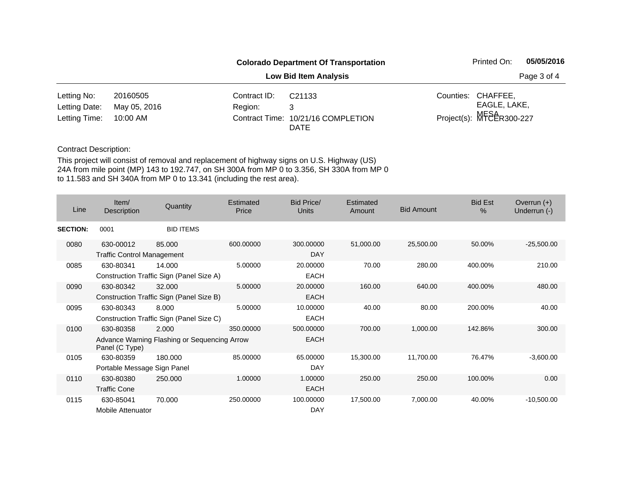|               | <b>Colorado Department Of Transportation</b> |              |                                                   |  |                          | 05/05/2016  |  |
|---------------|----------------------------------------------|--------------|---------------------------------------------------|--|--------------------------|-------------|--|
|               | <b>Low Bid Item Analysis</b>                 |              |                                                   |  |                          | Page 3 of 4 |  |
| Letting No:   | 20160505                                     | Contract ID: | C <sub>21133</sub>                                |  | Counties: CHAFFEE,       |             |  |
| Letting Date: | May 05, 2016                                 | Region:      | 3                                                 |  | EAGLE, LAKE,             |             |  |
| Letting Time: | 10:00 AM                                     |              | Contract Time: 10/21/16 COMPLETION<br><b>DATE</b> |  | Project(s): MFSAR300-227 |             |  |

| Line            | Item/<br>Description                           | Quantity                                              | Estimated<br>Price | Bid Price/<br>Units      | Estimated<br>Amount | <b>Bid Amount</b> | <b>Bid Est</b><br>$\frac{0}{0}$ | Overrun $(+)$<br>Underrun (-) |
|-----------------|------------------------------------------------|-------------------------------------------------------|--------------------|--------------------------|---------------------|-------------------|---------------------------------|-------------------------------|
| <b>SECTION:</b> | 0001                                           | <b>BID ITEMS</b>                                      |                    |                          |                     |                   |                                 |                               |
| 0080            | 630-00012<br><b>Traffic Control Management</b> | 85,000                                                | 600.00000          | 300,00000<br><b>DAY</b>  | 51,000.00           | 25,500.00         | 50.00%                          | $-25,500.00$                  |
| 0085            | 630-80341                                      | 14.000<br>Construction Traffic Sign (Panel Size A)    | 5.00000            | 20.00000<br><b>EACH</b>  | 70.00               | 280.00            | 400.00%                         | 210.00                        |
| 0090            | 630-80342                                      | 32.000<br>Construction Traffic Sign (Panel Size B)    | 5.00000            | 20,00000<br><b>EACH</b>  | 160.00              | 640.00            | 400.00%                         | 480.00                        |
| 0095            | 630-80343                                      | 8.000<br>Construction Traffic Sign (Panel Size C)     | 5.00000            | 10.00000<br><b>EACH</b>  | 40.00               | 80.00             | 200.00%                         | 40.00                         |
| 0100            | 630-80358<br>Panel (C Type)                    | 2.000<br>Advance Warning Flashing or Sequencing Arrow | 350.00000          | 500.00000<br><b>EACH</b> | 700.00              | 1,000.00          | 142.86%                         | 300.00                        |
| 0105            | 630-80359<br>Portable Message Sign Panel       | 180.000                                               | 85.00000           | 65.00000<br>DAY          | 15,300.00           | 11,700.00         | 76.47%                          | $-3,600.00$                   |
| 0110            | 630-80380<br><b>Traffic Cone</b>               | 250.000                                               | 1.00000            | 1.00000<br><b>EACH</b>   | 250.00              | 250.00            | 100.00%                         | 0.00                          |
| 0115            | 630-85041<br><b>Mobile Attenuator</b>          | 70.000                                                | 250.00000          | 100.00000<br><b>DAY</b>  | 17,500.00           | 7,000.00          | 40.00%                          | $-10,500.00$                  |